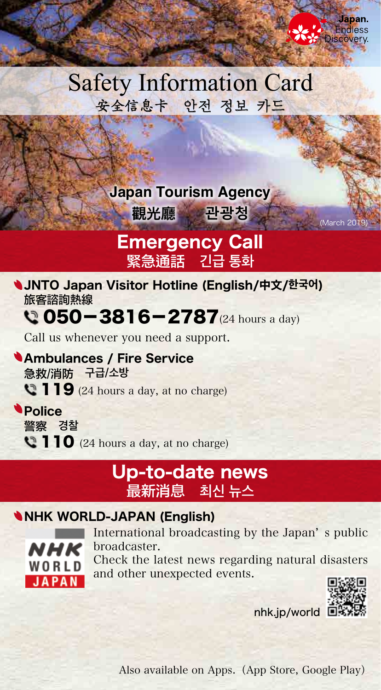# **Safety Information Card** 安全信息卡 안전 정보 카드

### **Japan Tourism Agency**

<mark>、觀光廳 관광청 (March 201</mark>

### **Emergency Call** 緊急通話 긴급 통화

**JNTO Japan Visitor Hotline (English/中文/한국어)** 旅客諮詢熱線

## $Q$  050-3816-2787 $(24 \text{ hours a day})$

Call us whenever you need a support.

**Ambulances / Fire Service** 急救/消防 구급/소방  $\mathbb{C}$  119 (24 hours a day, at no charge)

**Police 경찰** 警察  $\bullet$  110 (24 hours a day, at no charge)

### Up-to-date news **뉴스 최신** 最新消息

#### **NHK WORLD-JAPAN (English)**



International broadcasting by the Japan's public .broadcaster Check the latest news regarding natural disasters and other unexpected events.



 $nhk.in/world$ 

Also available on Apps. (App Store, Google Play)